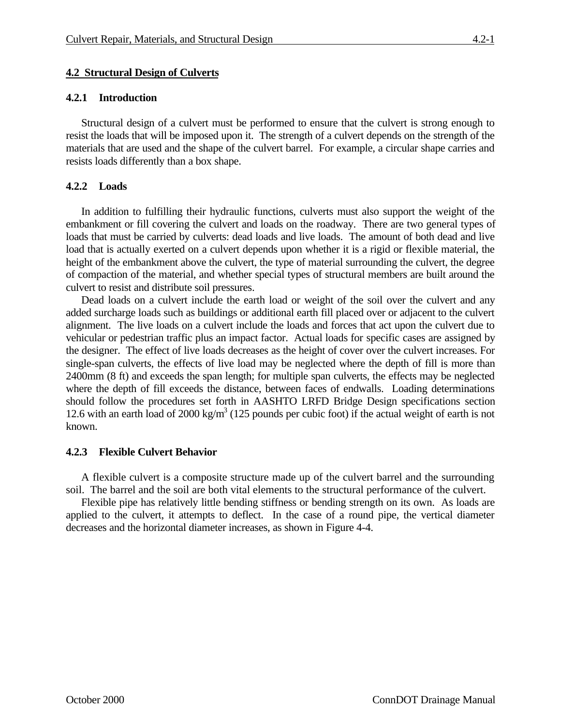## **4.2 Structural Design of Culverts**

### **4.2.1 Introduction**

Structural design of a culvert must be performed to ensure that the culvert is strong enough to resist the loads that will be imposed upon it. The strength of a culvert depends on the strength of the materials that are used and the shape of the culvert barrel. For example, a circular shape carries and resists loads differently than a box shape.

## **4.2.2 Loads**

In addition to fulfilling their hydraulic functions, culverts must also support the weight of the embankment or fill covering the culvert and loads on the roadway. There are two general types of loads that must be carried by culverts: dead loads and live loads. The amount of both dead and live load that is actually exerted on a culvert depends upon whether it is a rigid or flexible material, the height of the embankment above the culvert, the type of material surrounding the culvert, the degree of compaction of the material, and whether special types of structural members are built around the culvert to resist and distribute soil pressures.

Dead loads on a culvert include the earth load or weight of the soil over the culvert and any added surcharge loads such as buildings or additional earth fill placed over or adjacent to the culvert alignment. The live loads on a culvert include the loads and forces that act upon the culvert due to vehicular or pedestrian traffic plus an impact factor. Actual loads for specific cases are assigned by the designer. The effect of live loads decreases as the height of cover over the culvert increases. For single-span culverts, the effects of live load may be neglected where the depth of fill is more than 2400mm (8 ft) and exceeds the span length; for multiple span culverts, the effects may be neglected where the depth of fill exceeds the distance, between faces of endwalls. Loading determinations should follow the procedures set forth in AASHTO LRFD Bridge Design specifications section 12.6 with an earth load of 2000 kg/m<sup>3</sup> (125 pounds per cubic foot) if the actual weight of earth is not known.

### **4.2.3 Flexible Culvert Behavior**

A flexible culvert is a composite structure made up of the culvert barrel and the surrounding soil. The barrel and the soil are both vital elements to the structural performance of the culvert.

Flexible pipe has relatively little bending stiffness or bending strength on its own. As loads are applied to the culvert, it attempts to deflect. In the case of a round pipe, the vertical diameter decreases and the horizontal diameter increases, as shown in Figure 4-4.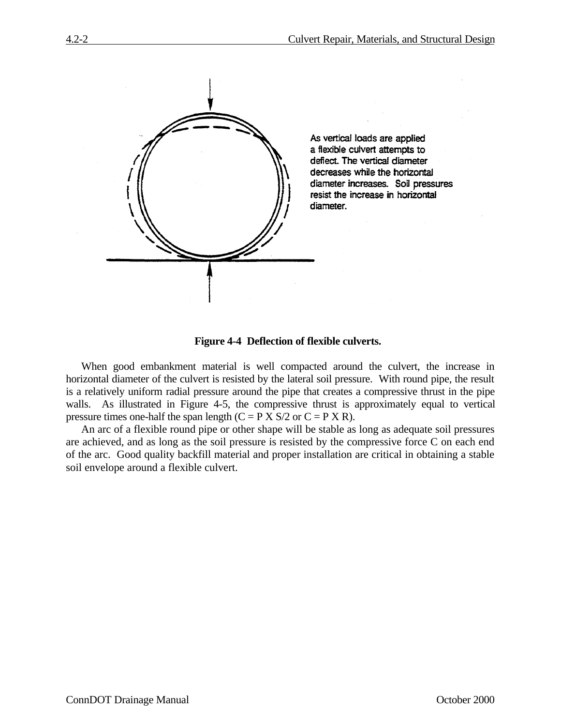



When good embankment material is well compacted around the culvert, the increase in horizontal diameter of the culvert is resisted by the lateral soil pressure. With round pipe, the result is a relatively uniform radial pressure around the pipe that creates a compressive thrust in the pipe walls. As illustrated in Figure 4-5, the compressive thrust is approximately equal to vertical pressure times one-half the span length  $(C = P X S/2$  or  $C = P X R$ ).

An arc of a flexible round pipe or other shape will be stable as long as adequate soil pressures are achieved, and as long as the soil pressure is resisted by the compressive force C on each end of the arc. Good quality backfill material and proper installation are critical in obtaining a stable soil envelope around a flexible culvert.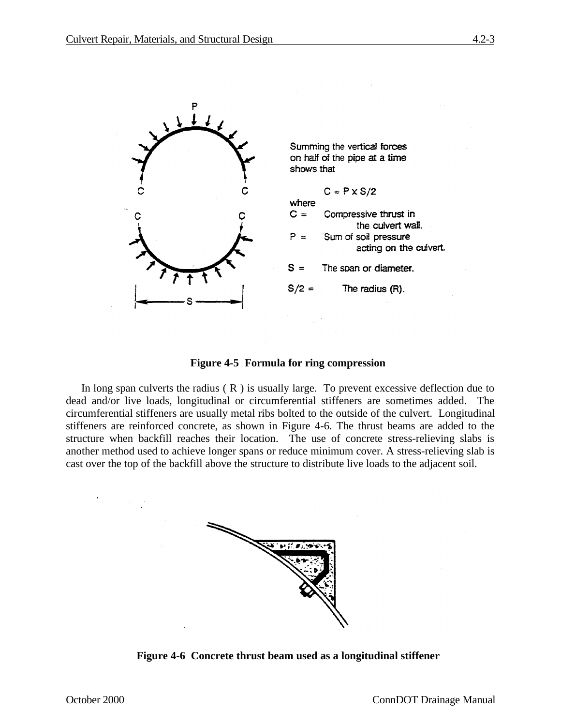

#### **Figure 4-5 Formula for ring compression**

In long span culverts the radius (R) is usually large. To prevent excessive deflection due to dead and/or live loads, longitudinal or circumferential stiffeners are sometimes added. The circumferential stiffeners are usually metal ribs bolted to the outside of the culvert. Longitudinal stiffeners are reinforced concrete, as shown in Figure 4-6. The thrust beams are added to the structure when backfill reaches their location. The use of concrete stress-relieving slabs is another method used to achieve longer spans or reduce minimum cover. A stress-relieving slab is cast over the top of the backfill above the structure to distribute live loads to the adjacent soil.



**Figure 4-6 Concrete thrust beam used as a longitudinal stiffener**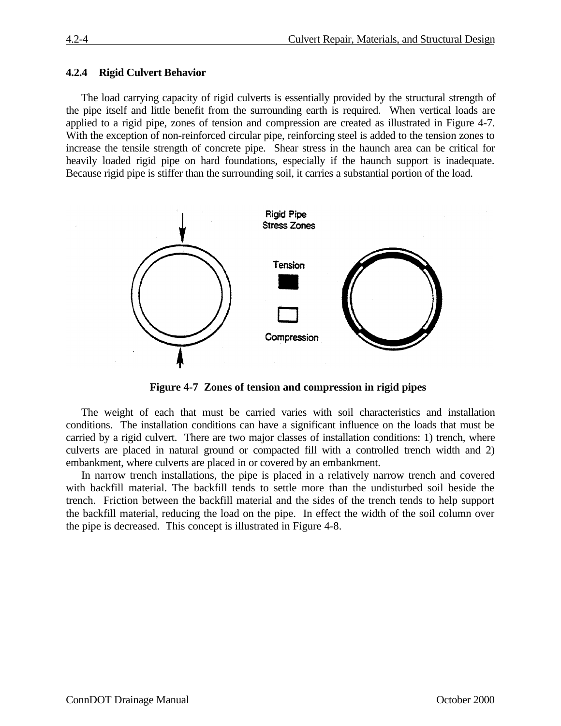#### **4.2.4 Rigid Culvert Behavior**

The load carrying capacity of rigid culverts is essentially provided by the structural strength of the pipe itself and little benefit from the surrounding earth is required. When vertical loads are applied to a rigid pipe, zones of tension and compression are created as illustrated in Figure 4-7. With the exception of non-reinforced circular pipe, reinforcing steel is added to the tension zones to increase the tensile strength of concrete pipe. Shear stress in the haunch area can be critical for heavily loaded rigid pipe on hard foundations, especially if the haunch support is inadequate. Because rigid pipe is stiffer than the surrounding soil, it carries a substantial portion of the load.



**Figure 4-7 Zones of tension and compression in rigid pipes**

The weight of each that must be carried varies with soil characteristics and installation conditions. The installation conditions can have a significant influence on the loads that must be carried by a rigid culvert. There are two major classes of installation conditions: 1) trench, where culverts are placed in natural ground or compacted fill with a controlled trench width and 2) embankment, where culverts are placed in or covered by an embankment.

In narrow trench installations, the pipe is placed in a relatively narrow trench and covered with backfill material. The backfill tends to settle more than the undisturbed soil beside the trench. Friction between the backfill material and the sides of the trench tends to help support the backfill material, reducing the load on the pipe. In effect the width of the soil column over the pipe is decreased. This concept is illustrated in Figure 4-8.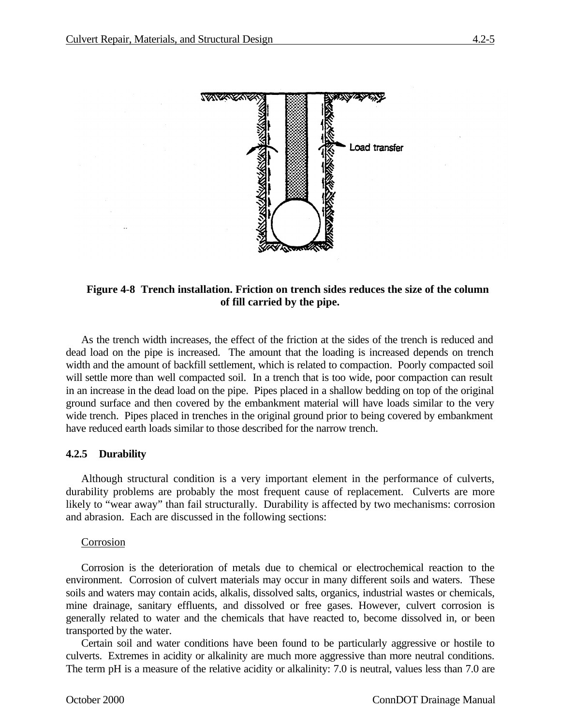

## **Figure 4-8 Trench installation. Friction on trench sides reduces the size of the column of fill carried by the pipe.**

As the trench width increases, the effect of the friction at the sides of the trench is reduced and dead load on the pipe is increased. The amount that the loading is increased depends on trench width and the amount of backfill settlement, which is related to compaction. Poorly compacted soil will settle more than well compacted soil. In a trench that is too wide, poor compaction can result in an increase in the dead load on the pipe. Pipes placed in a shallow bedding on top of the original ground surface and then covered by the embankment material will have loads similar to the very wide trench. Pipes placed in trenches in the original ground prior to being covered by embankment have reduced earth loads similar to those described for the narrow trench.

### **4.2.5 Durability**

Although structural condition is a very important element in the performance of culverts, durability problems are probably the most frequent cause of replacement. Culverts are more likely to "wear away" than fail structurally. Durability is affected by two mechanisms: corrosion and abrasion. Each are discussed in the following sections:

#### Corrosion

Corrosion is the deterioration of metals due to chemical or electrochemical reaction to the environment. Corrosion of culvert materials may occur in many different soils and waters. These soils and waters may contain acids, alkalis, dissolved salts, organics, industrial wastes or chemicals, mine drainage, sanitary effluents, and dissolved or free gases. However, culvert corrosion is generally related to water and the chemicals that have reacted to, become dissolved in, or been transported by the water.

Certain soil and water conditions have been found to be particularly aggressive or hostile to culverts. Extremes in acidity or alkalinity are much more aggressive than more neutral conditions. The term pH is a measure of the relative acidity or alkalinity: 7.0 is neutral, values less than 7.0 are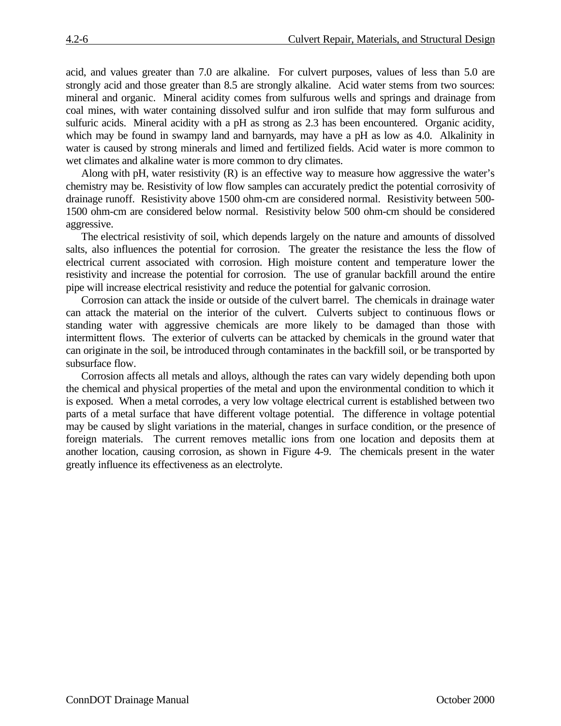acid, and values greater than 7.0 are alkaline. For culvert purposes, values of less than 5.0 are strongly acid and those greater than 8.5 are strongly alkaline. Acid water stems from two sources: mineral and organic. Mineral acidity comes from sulfurous wells and springs and drainage from coal mines, with water containing dissolved sulfur and iron sulfide that may form sulfurous and sulfuric acids. Mineral acidity with a pH as strong as 2.3 has been encountered. Organic acidity, which may be found in swampy land and barnyards, may have a pH as low as 4.0. Alkalinity in water is caused by strong minerals and limed and fertilized fields. Acid water is more common to wet climates and alkaline water is more common to dry climates.

Along with pH, water resistivity (R) is an effective way to measure how aggressive the water's chemistry may be. Resistivity of low flow samples can accurately predict the potential corrosivity of drainage runoff. Resistivity above 1500 ohm-cm are considered normal. Resistivity between 500- 1500 ohm-cm are considered below normal. Resistivity below 500 ohm-cm should be considered aggressive.

The electrical resistivity of soil, which depends largely on the nature and amounts of dissolved salts, also influences the potential for corrosion. The greater the resistance the less the flow of electrical current associated with corrosion. High moisture content and temperature lower the resistivity and increase the potential for corrosion. The use of granular backfill around the entire pipe will increase electrical resistivity and reduce the potential for galvanic corrosion.

Corrosion can attack the inside or outside of the culvert barrel. The chemicals in drainage water can attack the material on the interior of the culvert. Culverts subject to continuous flows or standing water with aggressive chemicals are more likely to be damaged than those with intermittent flows. The exterior of culverts can be attacked by chemicals in the ground water that can originate in the soil, be introduced through contaminates in the backfill soil, or be transported by subsurface flow.

Corrosion affects all metals and alloys, although the rates can vary widely depending both upon the chemical and physical properties of the metal and upon the environmental condition to which it is exposed. When a metal corrodes, a very low voltage electrical current is established between two parts of a metal surface that have different voltage potential. The difference in voltage potential may be caused by slight variations in the material, changes in surface condition, or the presence of foreign materials. The current removes metallic ions from one location and deposits them at another location, causing corrosion, as shown in Figure 4-9. The chemicals present in the water greatly influence its effectiveness as an electrolyte.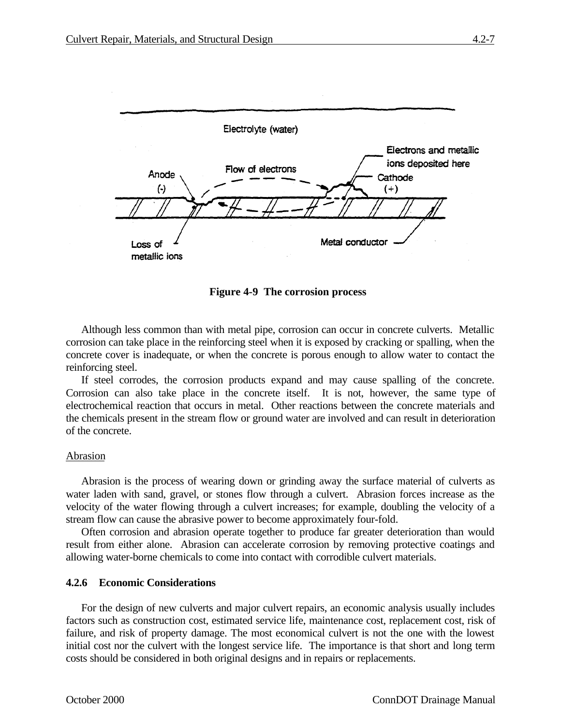$(\cdot)$ 

Loss of metallic ions



Metal conductor

**Figure 4-9 The corrosion process**

Although less common than with metal pipe, corrosion can occur in concrete culverts. Metallic corrosion can take place in the reinforcing steel when it is exposed by cracking or spalling, when the concrete cover is inadequate, or when the concrete is porous enough to allow water to contact the reinforcing steel.

If steel corrodes, the corrosion products expand and may cause spalling of the concrete. Corrosion can also take place in the concrete itself. It is not, however, the same type of electrochemical reaction that occurs in metal. Other reactions between the concrete materials and the chemicals present in the stream flow or ground water are involved and can result in deterioration of the concrete.

#### Abrasion

Abrasion is the process of wearing down or grinding away the surface material of culverts as water laden with sand, gravel, or stones flow through a culvert. Abrasion forces increase as the velocity of the water flowing through a culvert increases; for example, doubling the velocity of a stream flow can cause the abrasive power to become approximately four-fold.

Often corrosion and abrasion operate together to produce far greater deterioration than would result from either alone. Abrasion can accelerate corrosion by removing protective coatings and allowing water-borne chemicals to come into contact with corrodible culvert materials.

#### **4.2.6 Economic Considerations**

For the design of new culverts and major culvert repairs, an economic analysis usually includes factors such as construction cost, estimated service life, maintenance cost, replacement cost, risk of failure, and risk of property damage. The most economical culvert is not the one with the lowest initial cost nor the culvert with the longest service life. The importance is that short and long term costs should be considered in both original designs and in repairs or replacements.